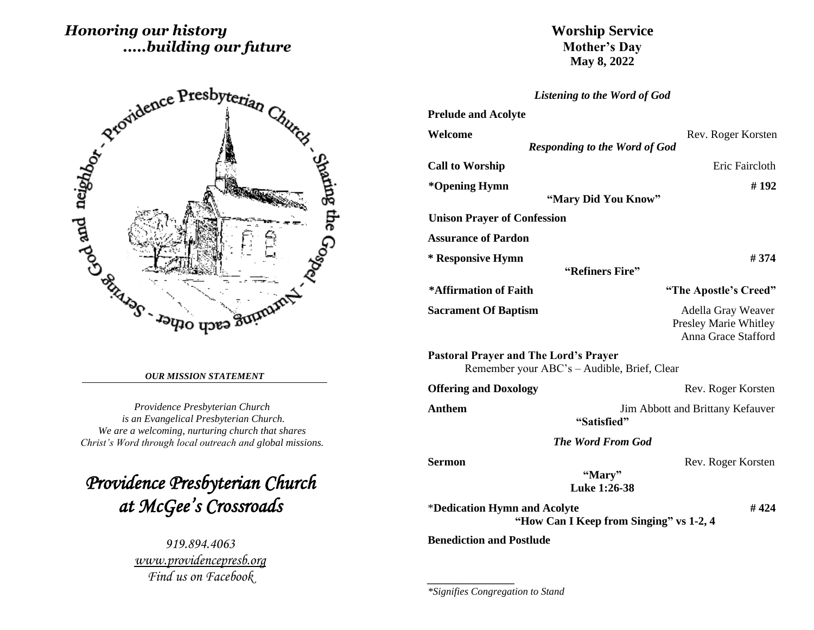# *Honoring our history .....building our future*



#### *OUR MISSION STATEMENT*

*Providence Presbyterian Church is an Evangelical Presbyterian Church. We are a welcoming, nurturing church that shares Christ's Word through local outreach and global missions.*

*Providence Presbyterian Church at McGee's Crossroads* 

> *919.894.4063 [www.providencepresb.org](http://www.providencepresb.org/) Find us on Facebook*

## **Worship Service Mother's Day May 8, 2022**

*Listening to the Word of God*

| <b>Prelude and Acolyte</b>                   |                                                                    |
|----------------------------------------------|--------------------------------------------------------------------|
| Welcome                                      | Rev. Roger Korsten                                                 |
|                                              | <b>Responding to the Word of God</b>                               |
| <b>Call to Worship</b>                       | Eric Faircloth                                                     |
| *Opening Hymn                                | #192                                                               |
|                                              | "Mary Did You Know"                                                |
| <b>Unison Prayer of Confession</b>           |                                                                    |
| <b>Assurance of Pardon</b>                   |                                                                    |
| * Responsive Hymn                            | #374                                                               |
|                                              | "Refiners Fire"                                                    |
| *Affirmation of Faith                        | "The Apostle's Creed"                                              |
| <b>Sacrament Of Baptism</b>                  | Adella Gray Weaver<br>Presley Marie Whitley<br>Anna Grace Stafford |
| <b>Pastoral Prayer and The Lord's Prayer</b> | Remember your ABC's - Audible, Brief, Clear                        |
| <b>Offering and Doxology</b>                 | Rev. Roger Korsten                                                 |
| Anthem                                       | Jim Abbott and Brittany Kefauver<br>"Satisfied"                    |
|                                              | <b>The Word From God</b>                                           |
| Sermon                                       | Rev. Roger Korsten<br>"Mary"<br>Luke 1:26-38                       |
| *Dedication Hymn and Acolyte                 | #424<br>"How Can I Keep from Singing" vs 1-2, 4                    |
| <b>Benediction and Postlude</b>              |                                                                    |

*\*Signifies Congregation to Stand*

*\_\_\_\_\_\_\_\_\_\_\_\_\_\_\_\_\_*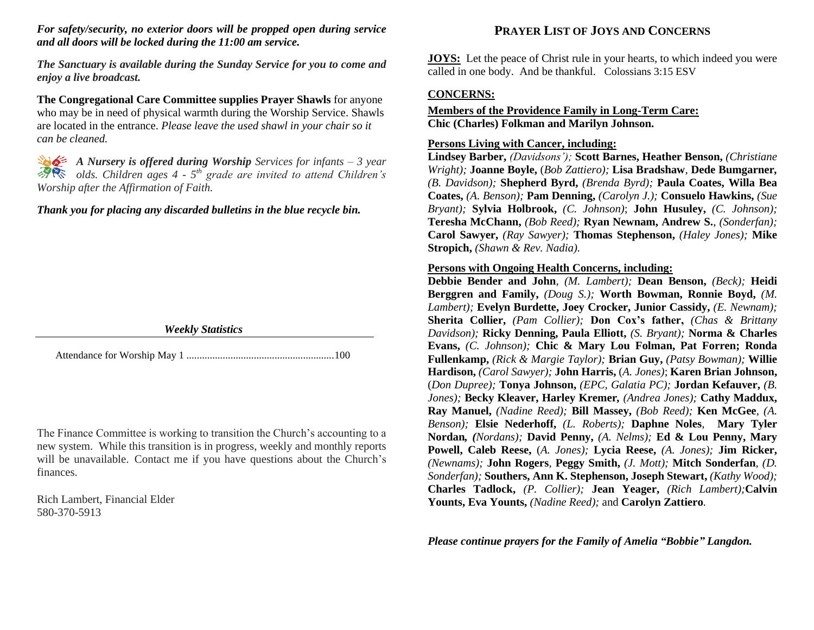## *For safety/security, no exterior doors will be propped open during service and all doors will be locked during the 11:00 am service.*

*The Sanctuary is available during the Sunday Service for you to come and enjoy a live broadcast.*

**The Congregational Care Committee supplies Prayer Shawls** for anyone who may be in need of physical warmth during the Worship Service. Shawls are located in the entrance. *Please leave the used shawl in your chair so it can be cleaned.*

*A Nursery is offered during Worship Services for infants – 3 year olds. Children ages 4 - 5 th grade are invited to attend Children's Worship after the Affirmation of Faith.*

#### *Thank you for placing any discarded bulletins in the blue recycle bin.*

| <b>Weekly Statistics</b> |  |
|--------------------------|--|
|                          |  |

Attendance for Worship May 1 .........................................................100

The Finance Committee is working to transition the Church's accounting to a new system. While this transition is in progress, weekly and monthly reports will be unavailable. Contact me if you have questions about the Church's finances.

Rich Lambert, Financial Elder 580-370-5913

## **PRAYER LIST OF JOYS AND CONCERNS**

**JOYS:** Let the peace of Christ rule in your hearts, to which indeed you were called in one body. And be thankful. Colossians 3:15 ESV

### **CONCERNS:**

### **Members of the Providence Family in Long-Term Care: Chic (Charles) Folkman and Marilyn Johnson.**

#### **Persons Living with Cancer, including:**

**Lindsey Barber,** *(Davidsons');* **Scott Barnes, Heather Benson,** *(Christiane Wright);* **Joanne Boyle,** (*Bob Zattiero);* **Lisa Bradshaw***,* **Dede Bumgarner***, (B. Davidson);* **Shepherd Byrd,** *(Brenda Byrd);* **Paula Coates, Willa Bea Coates,** *(A. Benson);* **Pam Denning,** *(Carolyn J.);* **Consuelo Hawkins,** *(Sue Bryant);* **Sylvia Holbrook,** *(C. Johnson)*; **John Husuley,** *(C. Johnson);*  **Teresha McChann,** *(Bob Reed);* **Ryan Newnam, Andrew S.**, *(Sonderfan);*  **Carol Sawyer,** *(Ray Sawyer);* **Thomas Stephenson,** *(Haley Jones);* **Mike Stropich,** *(Shawn & Rev. Nadia).*

#### **Persons with Ongoing Health Concerns, including:**

**Debbie Bender and John***, (M. Lambert);* **Dean Benson,** *(Beck);* **Heidi Berggren and Family,** *(Doug S.);* **Worth Bowman, Ronnie Boyd,** *(M. Lambert);* **Evelyn Burdette, Joey Crocker, Junior Cassidy,** *(E. Newnam);* **Sherita Collier,** *(Pam Collier);* **Don Cox's father,** *(Chas & Brittany Davidson);* **Ricky Denning, Paula Elliott,** *(S. Bryant);* **Norma & Charles Evans,** *(C. Johnson);* **Chic & Mary Lou Folman, Pat Forren; Ronda Fullenkamp,** *(Rick & Margie Taylor);* **Brian Guy,** *(Patsy Bowman);* **Willie Hardison,** *(Carol Sawyer);* **John Harris,** (*A. Jones)*; **Karen Brian Johnson,**  (*Don Dupree);* **Tonya Johnson,** *(EPC, Galatia PC);* **Jordan Kefauver,** *(B. Jones);* **Becky Kleaver, Harley Kremer***, (Andrea Jones);* **Cathy Maddux, Ray Manuel,** *(Nadine Reed);* **Bill Massey,** *(Bob Reed);* **Ken McGee***, (A. Benson);* **Elsie Nederhoff,** *(L. Roberts);* **Daphne Noles***,* **Mary Tyler Nordan***, (Nordans);* **David Penny,** *(A. Nelms);* **Ed & Lou Penny, Mary Powell, Caleb Reese,** (*A. Jones);* **Lycia Reese,** *(A. Jones);* **Jim Ricker,** *(Newnams);* **John Rogers***,* **Peggy Smith,** *(J. Mott);* **Mitch Sonderfan***, (D. Sonderfan);* **Southers, Ann K. Stephenson, Joseph Stewart,** *(Kathy Wood);* **Charles Tadlock,** *(P. Collier);* **Jean Yeager,** *(Rich Lambert);***Calvin Younts, Eva Younts,** *(Nadine Reed);* and **Carolyn Zattiero***.*

*Please continue prayers for the Family of Amelia "Bobbie" Langdon.*